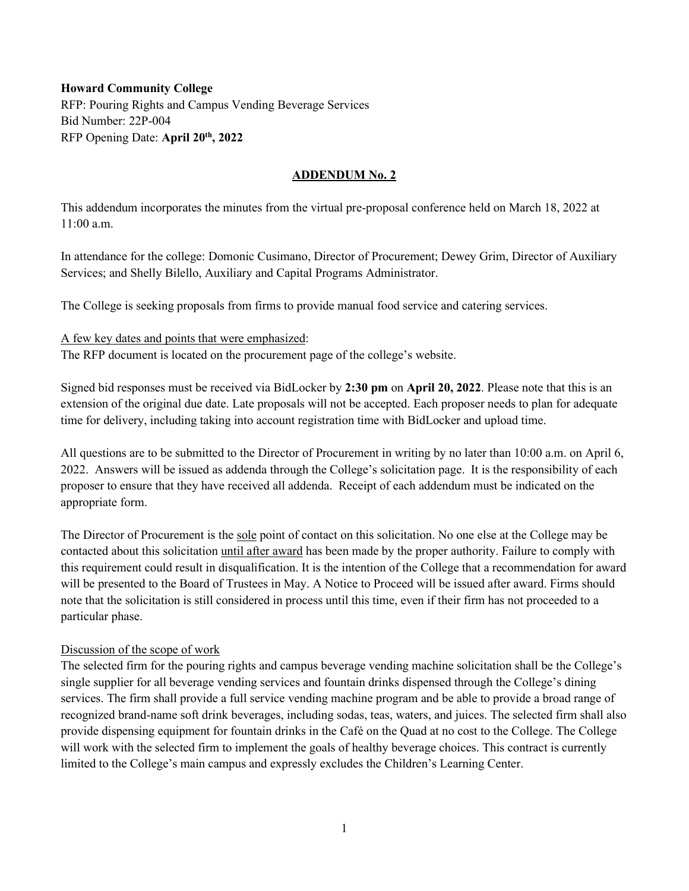#### **Howard Community College**

RFP: Pouring Rights and Campus Vending Beverage Services Bid Number: 22P-004 RFP Opening Date: **April 20th, 2022**

### **ADDENDUM No. 2**

This addendum incorporates the minutes from the virtual pre-proposal conference held on March 18, 2022 at 11:00 a.m.

In attendance for the college: Domonic Cusimano, Director of Procurement; Dewey Grim, Director of Auxiliary Services; and Shelly Bilello, Auxiliary and Capital Programs Administrator.

The College is seeking proposals from firms to provide manual food service and catering services.

#### A few key dates and points that were emphasized:

The RFP document is located on the procurement page of the college's website.

Signed bid responses must be received via BidLocker by **2:30 pm** on **April 20, 2022**. Please note that this is an extension of the original due date. Late proposals will not be accepted. Each proposer needs to plan for adequate time for delivery, including taking into account registration time with BidLocker and upload time.

All questions are to be submitted to the Director of Procurement in writing by no later than 10:00 a.m. on April 6, 2022. Answers will be issued as addenda through the College's solicitation page. It is the responsibility of each proposer to ensure that they have received all addenda. Receipt of each addendum must be indicated on the appropriate form.

The Director of Procurement is the sole point of contact on this solicitation. No one else at the College may be contacted about this solicitation until after award has been made by the proper authority. Failure to comply with this requirement could result in disqualification. It is the intention of the College that a recommendation for award will be presented to the Board of Trustees in May. A Notice to Proceed will be issued after award. Firms should note that the solicitation is still considered in process until this time, even if their firm has not proceeded to a particular phase.

## Discussion of the scope of work

The selected firm for the pouring rights and campus beverage vending machine solicitation shall be the College's single supplier for all beverage vending services and fountain drinks dispensed through the College's dining services. The firm shall provide a full service vending machine program and be able to provide a broad range of recognized brand-name soft drink beverages, including sodas, teas, waters, and juices. The selected firm shall also provide dispensing equipment for fountain drinks in the Café on the Quad at no cost to the College. The College will work with the selected firm to implement the goals of healthy beverage choices. This contract is currently limited to the College's main campus and expressly excludes the Children's Learning Center.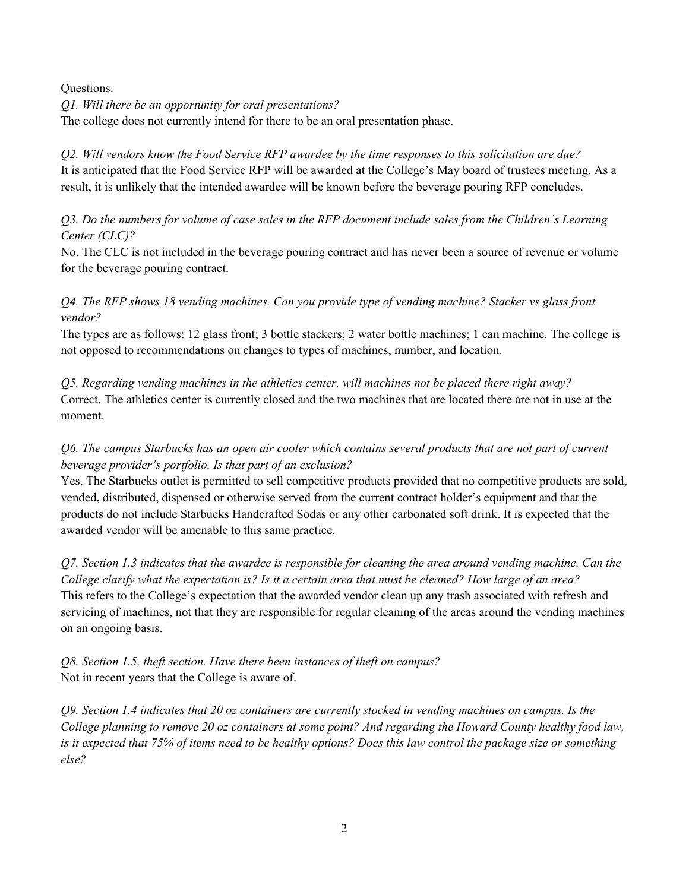## Questions:

*Q1. Will there be an opportunity for oral presentations?*

The college does not currently intend for there to be an oral presentation phase.

# *Q2. Will vendors know the Food Service RFP awardee by the time responses to this solicitation are due?* It is anticipated that the Food Service RFP will be awarded at the College's May board of trustees meeting. As a result, it is unlikely that the intended awardee will be known before the beverage pouring RFP concludes.

*Q3. Do the numbers for volume of case sales in the RFP document include sales from the Children's Learning Center (CLC)?*

No. The CLC is not included in the beverage pouring contract and has never been a source of revenue or volume for the beverage pouring contract.

## *Q4. The RFP shows 18 vending machines. Can you provide type of vending machine? Stacker vs glass front vendor?*

The types are as follows: 12 glass front; 3 bottle stackers; 2 water bottle machines; 1 can machine. The college is not opposed to recommendations on changes to types of machines, number, and location.

*Q5. Regarding vending machines in the athletics center, will machines not be placed there right away?* Correct. The athletics center is currently closed and the two machines that are located there are not in use at the moment.

# *Q6. The campus Starbucks has an open air cooler which contains several products that are not part of current beverage provider's portfolio. Is that part of an exclusion?*

Yes. The Starbucks outlet is permitted to sell competitive products provided that no competitive products are sold, vended, distributed, dispensed or otherwise served from the current contract holder's equipment and that the products do not include Starbucks Handcrafted Sodas or any other carbonated soft drink. It is expected that the awarded vendor will be amenable to this same practice.

*Q7. Section 1.3 indicates that the awardee is responsible for cleaning the area around vending machine. Can the College clarify what the expectation is? Is it a certain area that must be cleaned? How large of an area?* This refers to the College's expectation that the awarded vendor clean up any trash associated with refresh and servicing of machines, not that they are responsible for regular cleaning of the areas around the vending machines on an ongoing basis.

*Q8. Section 1.5, theft section. Have there been instances of theft on campus?* Not in recent years that the College is aware of.

*Q9. Section 1.4 indicates that 20 oz containers are currently stocked in vending machines on campus. Is the College planning to remove 20 oz containers at some point? And regarding the Howard County healthy food law, is it expected that 75% of items need to be healthy options? Does this law control the package size or something else?*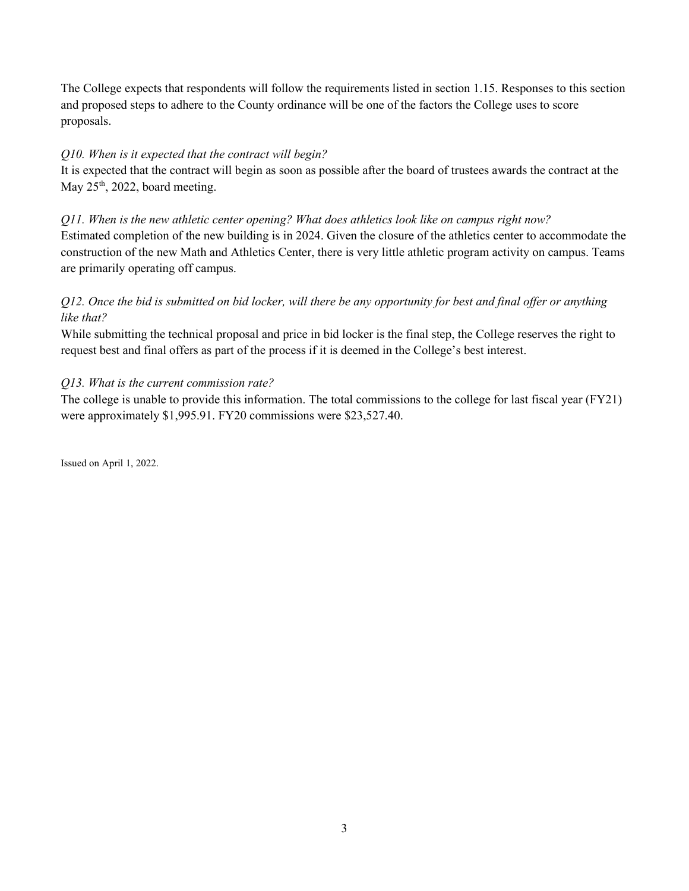The College expects that respondents will follow the requirements listed in section 1.15. Responses to this section and proposed steps to adhere to the County ordinance will be one of the factors the College uses to score proposals.

## *Q10. When is it expected that the contract will begin?*

It is expected that the contract will begin as soon as possible after the board of trustees awards the contract at the May 25<sup>th</sup>, 2022, board meeting.

## *Q11. When is the new athletic center opening? What does athletics look like on campus right now?*

Estimated completion of the new building is in 2024. Given the closure of the athletics center to accommodate the construction of the new Math and Athletics Center, there is very little athletic program activity on campus. Teams are primarily operating off campus.

## *Q12. Once the bid is submitted on bid locker, will there be any opportunity for best and final offer or anything like that?*

While submitting the technical proposal and price in bid locker is the final step, the College reserves the right to request best and final offers as part of the process if it is deemed in the College's best interest.

## *Q13. What is the current commission rate?*

The college is unable to provide this information. The total commissions to the college for last fiscal year (FY21) were approximately \$1,995.91. FY20 commissions were \$23,527.40.

Issued on April 1, 2022.